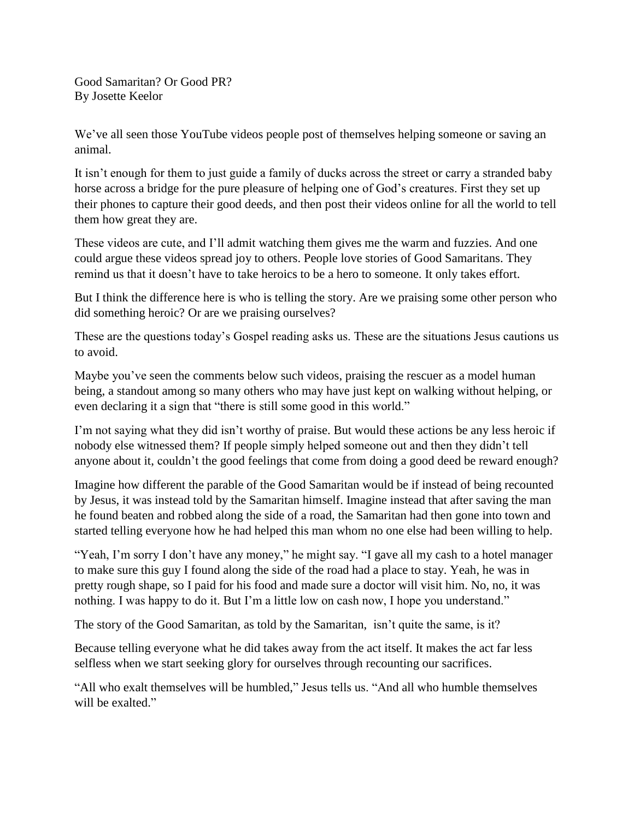Good Samaritan? Or Good PR? By Josette Keelor

We've all seen those YouTube videos people post of themselves helping someone or saving an animal.

It isn't enough for them to just guide a family of ducks across the street or carry a stranded baby horse across a bridge for the pure pleasure of helping one of God's creatures. First they set up their phones to capture their good deeds, and then post their videos online for all the world to tell them how great they are.

These videos are cute, and I'll admit watching them gives me the warm and fuzzies. And one could argue these videos spread joy to others. People love stories of Good Samaritans. They remind us that it doesn't have to take heroics to be a hero to someone. It only takes effort.

But I think the difference here is who is telling the story. Are we praising some other person who did something heroic? Or are we praising ourselves?

These are the questions today's Gospel reading asks us. These are the situations Jesus cautions us to avoid.

Maybe you've seen the comments below such videos, praising the rescuer as a model human being, a standout among so many others who may have just kept on walking without helping, or even declaring it a sign that "there is still some good in this world."

I'm not saying what they did isn't worthy of praise. But would these actions be any less heroic if nobody else witnessed them? If people simply helped someone out and then they didn't tell anyone about it, couldn't the good feelings that come from doing a good deed be reward enough?

Imagine how different the parable of the Good Samaritan would be if instead of being recounted by Jesus, it was instead told by the Samaritan himself. Imagine instead that after saving the man he found beaten and robbed along the side of a road, the Samaritan had then gone into town and started telling everyone how he had helped this man whom no one else had been willing to help.

"Yeah, I'm sorry I don't have any money," he might say. "I gave all my cash to a hotel manager to make sure this guy I found along the side of the road had a place to stay. Yeah, he was in pretty rough shape, so I paid for his food and made sure a doctor will visit him. No, no, it was nothing. I was happy to do it. But I'm a little low on cash now, I hope you understand."

The story of the Good Samaritan, as told by the Samaritan, isn't quite the same, is it?

Because telling everyone what he did takes away from the act itself. It makes the act far less selfless when we start seeking glory for ourselves through recounting our sacrifices.

"All who exalt themselves will be humbled," Jesus tells us. "And all who humble themselves will be exalted."